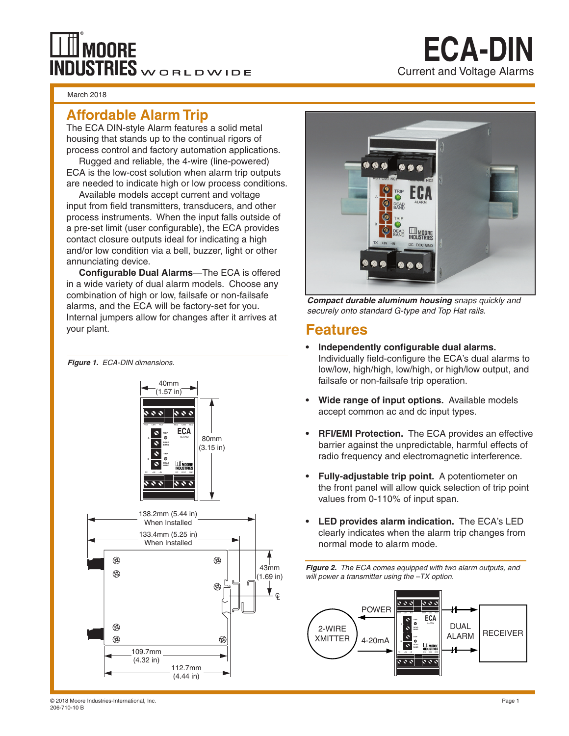# **OORE NDUSTRIES** WORLDWIDE

#### March 2018

### **Affordable Alarm Trip**

The ECA DIN-style Alarm features a solid metal housing that stands up to the continual rigors of process control and factory automation applications.

Rugged and reliable, the 4-wire (line-powered) ECA is the low-cost solution when alarm trip outputs are needed to indicate high or low process conditions.

Available models accept current and voltage input from field transmitters, transducers, and other process instruments. When the input falls outside of a pre-set limit (user configurable), the ECA provides contact closure outputs ideal for indicating a high and/or low condition via a bell, buzzer, light or other annunciating device.

**Configurable Dual Alarms**—The ECA is offered in a wide variety of dual alarm models. Choose any combination of high or low, failsafe or non-failsafe alarms, and the ECA will be factory-set for you. Internal jumpers allow for changes after it arrives at your plant.





**ECA-DIN**

Current and Voltage Alarms

*Compact durable aluminum housing snaps quickly and securely onto standard G-type and Top Hat rails.* 

### **Features**

- **• Independently configurable dual alarms.**  Individually field-configure the ECA's dual alarms to low/low, high/high, low/high, or high/low output, and failsafe or non-failsafe trip operation.
- **• Wide range of input options.** Available models accept common ac and dc input types.
- **• RFI/EMI Protection.** The ECA provides an effective barrier against the unpredictable, harmful effects of radio frequency and electromagnetic interference.
- **• Fully-adjustable trip point.** A potentiometer on the front panel will allow quick selection of trip point values from 0-110% of input span.
- **• LED provides alarm indication.** The ECA's LED clearly indicates when the alarm trip changes from normal mode to alarm mode.

*Figure 2. The ECA comes equipped with two alarm outputs, and will power a transmitter using the –TX option.*



© 2018 Moore Industries-International, Inc. Page 1 206-710-10 B